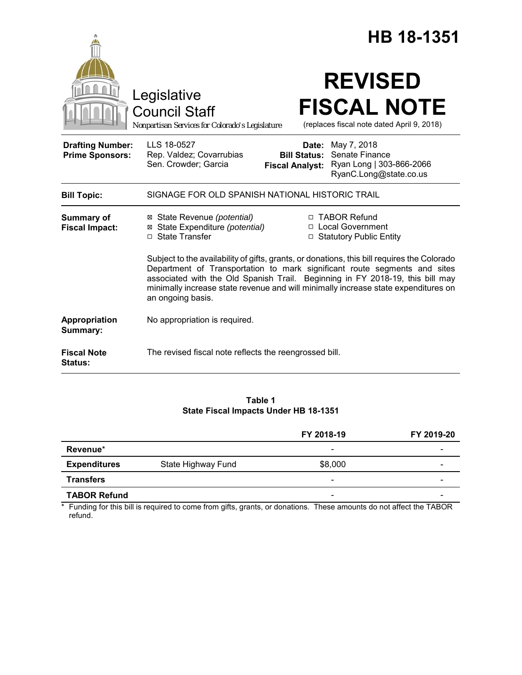|                                                   | HB 18-1351                                                                                                                                                                                                                                                                                                                                                           |  |  |
|---------------------------------------------------|----------------------------------------------------------------------------------------------------------------------------------------------------------------------------------------------------------------------------------------------------------------------------------------------------------------------------------------------------------------------|--|--|
|                                                   | <b>REVISED</b><br>Legislative<br><b>FISCAL NOTE</b><br><b>Council Staff</b><br>(replaces fiscal note dated April 9, 2018)<br>Nonpartisan Services for Colorado's Legislature                                                                                                                                                                                         |  |  |
| <b>Drafting Number:</b><br><b>Prime Sponsors:</b> | LLS 18-0527<br><b>Date:</b> May 7, 2018<br>Senate Finance<br>Rep. Valdez; Covarrubias<br><b>Bill Status:</b><br>Sen. Crowder; Garcia<br>Ryan Long   303-866-2066<br><b>Fiscal Analyst:</b><br>RyanC.Long@state.co.us                                                                                                                                                 |  |  |
| <b>Bill Topic:</b>                                | SIGNAGE FOR OLD SPANISH NATIONAL HISTORIC TRAIL                                                                                                                                                                                                                                                                                                                      |  |  |
| <b>Summary of</b><br><b>Fiscal Impact:</b>        | □ TABOR Refund<br>⊠ State Revenue (potential)<br>⊠ State Expenditure (potential)<br>□ Local Government<br>□ State Transfer<br>□ Statutory Public Entity                                                                                                                                                                                                              |  |  |
|                                                   | Subject to the availability of gifts, grants, or donations, this bill requires the Colorado<br>Department of Transportation to mark significant route segments and sites<br>associated with the Old Spanish Trail. Beginning in FY 2018-19, this bill may<br>minimally increase state revenue and will minimally increase state expenditures on<br>an ongoing basis. |  |  |
| Appropriation<br>Summary:                         | No appropriation is required.                                                                                                                                                                                                                                                                                                                                        |  |  |
| <b>Fiscal Note</b><br>Status:                     | The revised fiscal note reflects the reengrossed bill.                                                                                                                                                                                                                                                                                                               |  |  |

**Table 1 State Fiscal Impacts Under HB 18-1351**

|                     |                    | FY 2018-19               | FY 2019-20 |
|---------------------|--------------------|--------------------------|------------|
| Revenue*            |                    | $\overline{\phantom{a}}$ | -          |
| <b>Expenditures</b> | State Highway Fund | \$8,000                  |            |
| <b>Transfers</b>    |                    | $\qquad \qquad$          |            |
| <b>TABOR Refund</b> |                    | $\overline{\phantom{0}}$ |            |

\* Funding for this bill is required to come from gifts, grants, or donations. These amounts do not affect the TABOR refund.